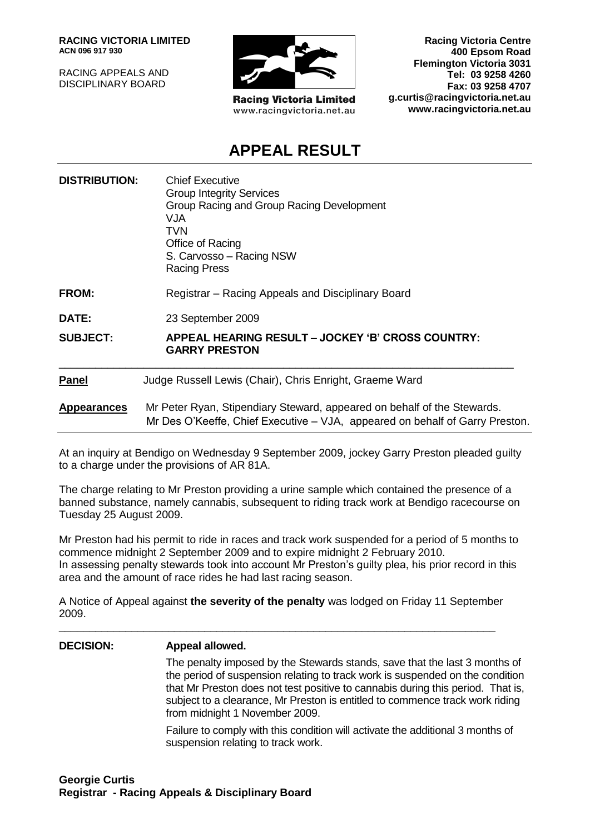**RACING VICTORIA LIMITED ACN 096 917 930**

RACING APPEALS AND DISCIPLINARY BOARD



**Racing Victoria Limited** www.racingvictoria.net.au

**Racing Victoria Centre 400 Epsom Road Flemington Victoria 3031 Tel: 03 9258 4260 Fax: 03 9258 4707 g.curtis@racingvictoria.net.au www.racingvictoria.net.au**

# **APPEAL RESULT**

| <b>DISTRIBUTION:</b> | <b>Chief Executive</b><br><b>Group Integrity Services</b><br>Group Racing and Group Racing Development<br>VJA.<br><b>TVN</b><br>Office of Racing<br>S. Carvosso - Racing NSW<br><b>Racing Press</b> |
|----------------------|-----------------------------------------------------------------------------------------------------------------------------------------------------------------------------------------------------|
| <b>FROM:</b>         | Registrar – Racing Appeals and Disciplinary Board                                                                                                                                                   |
| <b>DATE:</b>         | 23 September 2009                                                                                                                                                                                   |
| <b>SUBJECT:</b>      | APPEAL HEARING RESULT - JOCKEY 'B' CROSS COUNTRY:<br><b>GARRY PRESTON</b>                                                                                                                           |
| <b>Panel</b>         | Judge Russell Lewis (Chair), Chris Enright, Graeme Ward                                                                                                                                             |
| <b>Appearances</b>   | Mr Peter Ryan, Stipendiary Steward, appeared on behalf of the Stewards.<br>Mr Des O'Keeffe, Chief Executive – VJA, appeared on behalf of Garry Preston.                                             |

At an inquiry at Bendigo on Wednesday 9 September 2009, jockey Garry Preston pleaded guilty to a charge under the provisions of AR 81A.

The charge relating to Mr Preston providing a urine sample which contained the presence of a banned substance, namely cannabis, subsequent to riding track work at Bendigo racecourse on Tuesday 25 August 2009.

Mr Preston had his permit to ride in races and track work suspended for a period of 5 months to commence midnight 2 September 2009 and to expire midnight 2 February 2010. In assessing penalty stewards took into account Mr Preston's guilty plea, his prior record in this area and the amount of race rides he had last racing season.

A Notice of Appeal against **the severity of the penalty** was lodged on Friday 11 September 2009.

\_\_\_\_\_\_\_\_\_\_\_\_\_\_\_\_\_\_\_\_\_\_\_\_\_\_\_\_\_\_\_\_\_\_\_\_\_\_\_\_\_\_\_\_\_\_\_\_\_\_\_\_\_\_\_\_\_\_\_\_\_\_\_\_\_\_\_\_\_\_\_\_

## **DECISION: Appeal allowed.** The penalty imposed by the Stewards stands, save that the last 3 months of the period of suspension relating to track work is suspended on the condition that Mr Preston does not test positive to cannabis during this period. That is, subject to a clearance, Mr Preston is entitled to commence track work riding from midnight 1 November 2009.

Failure to comply with this condition will activate the additional 3 months of suspension relating to track work.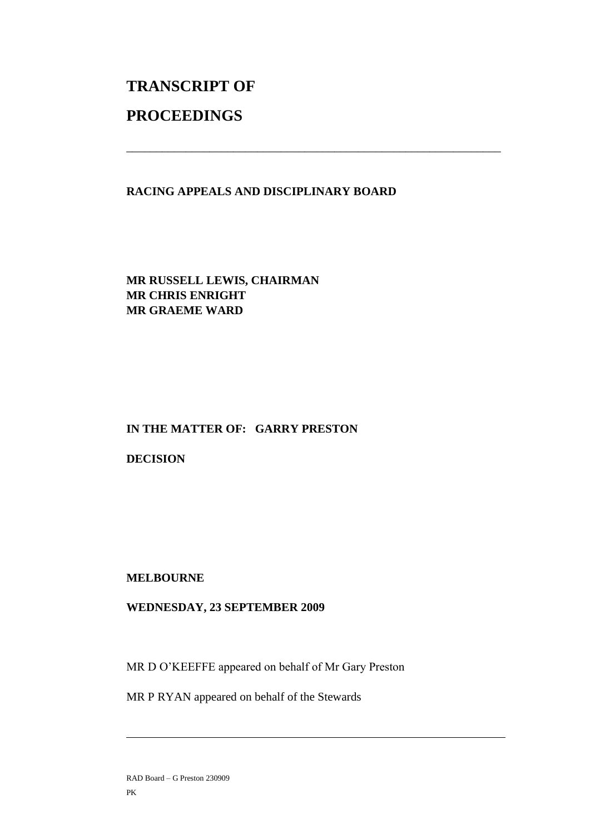# **TRANSCRIPT OF PROCEEDINGS**

#### **RACING APPEALS AND DISCIPLINARY BOARD**

\_\_\_\_\_\_\_\_\_\_\_\_\_\_\_\_\_\_\_\_\_\_\_\_\_\_\_\_\_\_\_\_\_\_\_\_\_\_\_\_\_\_\_\_\_\_\_\_\_\_\_\_\_\_\_\_\_\_\_\_\_\_\_

## **MR RUSSELL LEWIS, CHAIRMAN MR CHRIS ENRIGHT MR GRAEME WARD**

# **IN THE MATTER OF: GARRY PRESTON**

#### **DECISION**

#### **MELBOURNE**

#### **WEDNESDAY, 23 SEPTEMBER 2009**

MR D O'KEEFFE appeared on behalf of Mr Gary Preston

MR P RYAN appeared on behalf of the Stewards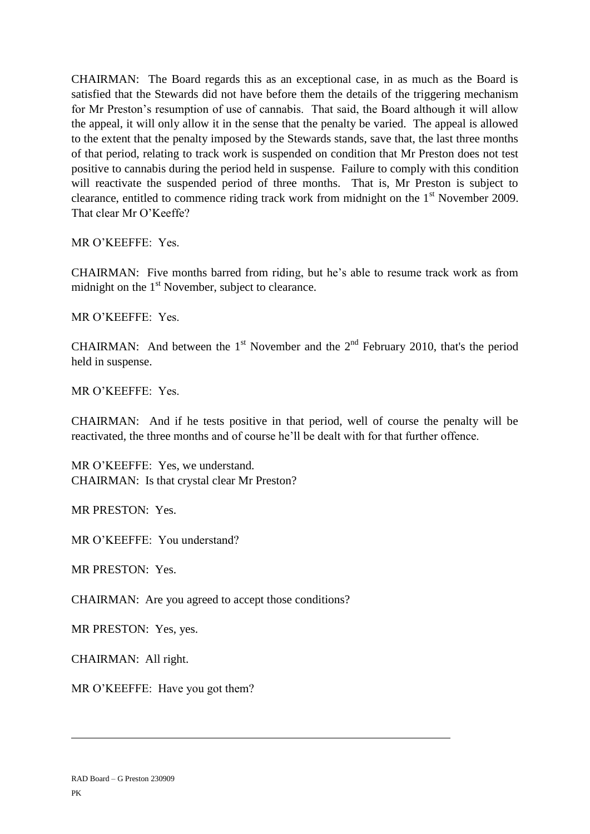CHAIRMAN: The Board regards this as an exceptional case, in as much as the Board is satisfied that the Stewards did not have before them the details of the triggering mechanism for Mr Preston's resumption of use of cannabis. That said, the Board although it will allow the appeal, it will only allow it in the sense that the penalty be varied. The appeal is allowed to the extent that the penalty imposed by the Stewards stands, save that, the last three months of that period, relating to track work is suspended on condition that Mr Preston does not test positive to cannabis during the period held in suspense. Failure to comply with this condition will reactivate the suspended period of three months. That is, Mr Preston is subject to clearance, entitled to commence riding track work from midnight on the 1<sup>st</sup> November 2009. That clear Mr O'Keeffe?

MR O'KEEFFE: Yes.

CHAIRMAN: Five months barred from riding, but he's able to resume track work as from midnight on the  $1<sup>st</sup>$  November, subject to clearance.

MR O'KEEFFE: Yes.

CHAIRMAN: And between the 1<sup>st</sup> November and the  $2<sup>nd</sup>$  February 2010, that's the period held in suspense.

MR O'KEEFFE: Yes.

CHAIRMAN: And if he tests positive in that period, well of course the penalty will be reactivated, the three months and of course he'll be dealt with for that further offence.

MR O'KEEFFE: Yes, we understand. CHAIRMAN: Is that crystal clear Mr Preston?

MR PRESTON: Yes.

MR O'KEEFFE: You understand?

MR PRESTON: Yes.

CHAIRMAN: Are you agreed to accept those conditions?

MR PRESTON: Yes, yes.

CHAIRMAN: All right.

MR O'KEEFFE: Have you got them?